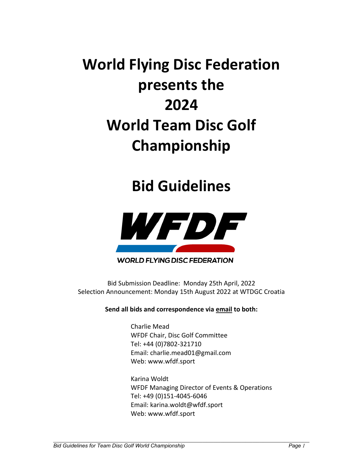# **World Flying Disc Federation presents the 2024 World Team Disc Golf Championship**

## **Bid Guidelines**



## **WORLD FLYING DISC FEDERATION**

Bid Submission Deadline: Monday 25th April, 2022 Selection Announcement: Monday 15th August 2022 at WTDGC Croatia

**Send all bids and correspondence via email to both:** 

Charlie Mead WFDF Chair, Disc Golf Committee Tel: +44 (0)7802-321710 Email: charlie.mead01@gmail.com Web: www.wfdf.sport

Karina Woldt WFDF Managing Director of Events & Operations Tel: +49 (0)151-4045-6046 Email: karina.woldt@wfdf.sport Web: www.wfdf.sport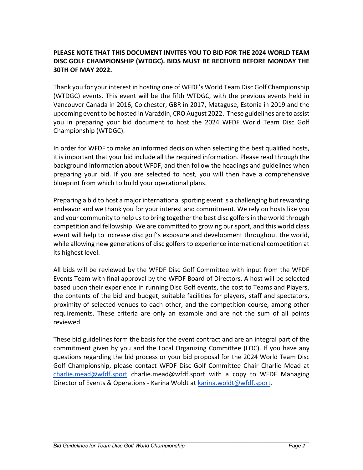## **PLEASE NOTE THAT THIS DOCUMENT INVITES YOU TO BID FOR THE 2024 WORLD TEAM DISC GOLF CHAMPIONSHIP (WTDGC). BIDS MUST BE RECEIVED BEFORE MONDAY THE 30TH OF MAY 2022.**

Thank you for your interest in hosting one of WFDF's World Team Disc Golf Championship (WTDGC) events. This event will be the fifth WTDGC, with the previous events held in Vancouver Canada in 2016, Colchester, GBR in 2017, Mataguse, Estonia in 2019 and the upcoming event to be hosted in Varaždin, CRO August 2022. These guidelines are to assist you in preparing your bid document to host the 2024 WFDF World Team Disc Golf Championship (WTDGC).

In order for WFDF to make an informed decision when selecting the best qualified hosts, it is important that your bid include all the required information. Please read through the background information about WFDF, and then follow the headings and guidelines when preparing your bid. If you are selected to host, you will then have a comprehensive blueprint from which to build your operational plans.

Preparing a bid to host a major international sporting event is a challenging but rewarding endeavor and we thank you for your interest and commitment. We rely on hosts like you and your community to help us to bring together the best disc golfers in the world through competition and fellowship. We are committed to growing our sport, and this world class event will help to increase disc golf's exposure and development throughout the world, while allowing new generations of disc golfers to experience international competition at its highest level.

All bids will be reviewed by the WFDF Disc Golf Committee with input from the WFDF Events Team with final approval by the WFDF Board of Directors. A host will be selected based upon their experience in running Disc Golf events, the cost to Teams and Players, the contents of the bid and budget, suitable facilities for players, staff and spectators, proximity of selected venues to each other, and the competition course, among other requirements. These criteria are only an example and are not the sum of all points reviewed.

These bid guidelines form the basis for the event contract and are an integral part of the commitment given by you and the Local Organizing Committee (LOC). If you have any questions regarding the bid process or your bid proposal for the 2024 World Team Disc Golf Championship, please contact WFDF Disc Golf Committee Chair Charlie Mead at charlie.mead@wfdf.sport charlie.mead@wfdf.sport with a copy to WFDF Managing Director of Events & Operations - Karina Woldt at karina.woldt@wfdf.sport.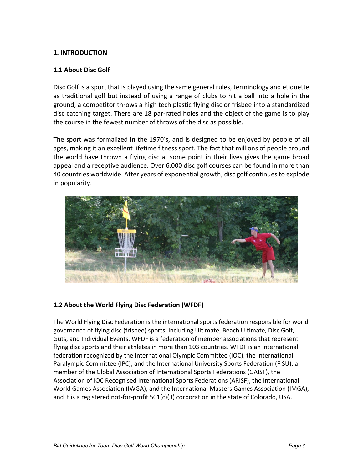## **1. INTRODUCTION**

## **1.1 About Disc Golf**

Disc Golf is a sport that is played using the same general rules, terminology and etiquette as traditional golf but instead of using a range of clubs to hit a ball into a hole in the ground, a competitor throws a high tech plastic flying disc or frisbee into a standardized disc catching target. There are 18 par-rated holes and the object of the game is to play the course in the fewest number of throws of the disc as possible.

The sport was formalized in the 1970's, and is designed to be enjoyed by people of all ages, making it an excellent lifetime fitness sport. The fact that millions of people around the world have thrown a flying disc at some point in their lives gives the game broad appeal and a receptive audience. Over 6,000 disc golf courses can be found in more than 40 countries worldwide. After years of exponential growth, disc golf continues to explode in popularity.



## **1.2 About the World Flying Disc Federation (WFDF)**

The World Flying Disc Federation is the international sports federation responsible for world governance of flying disc (frisbee) sports, including Ultimate, Beach Ultimate, Disc Golf, Guts, and Individual Events. WFDF is a federation of member associations that represent flying disc sports and their athletes in more than 103 countries. WFDF is an international federation recognized by the International Olympic Committee (IOC), the International Paralympic Committee (IPC), and the International University Sports Federation (FISU), a member of the Global Association of International Sports Federations (GAISF), the Association of IOC Recognised International Sports Federations (ARISF), the International World Games Association (IWGA), and the International Masters Games Association (IMGA), and it is a registered not-for-profit 501(c)(3) corporation in the state of Colorado, USA.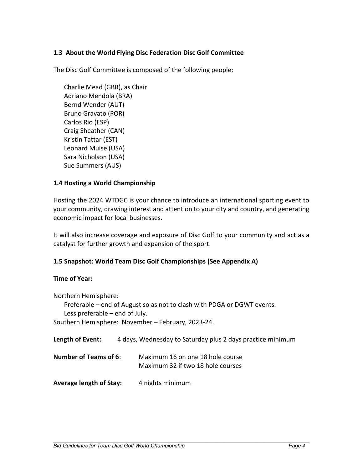## **1.3 About the World Flying Disc Federation Disc Golf Committee**

The Disc Golf Committee is composed of the following people:

Charlie Mead (GBR), as Chair Adriano Mendola (BRA) Bernd Wender (AUT) Bruno Gravato (POR) Carlos Rio (ESP) Craig Sheather (CAN) Kristin Tattar (EST) Leonard Muise (USA) Sara Nicholson (USA) Sue Summers (AUS)

## **1.4 Hosting a World Championship**

Hosting the 2024 WTDGC is your chance to introduce an international sporting event to your community, drawing interest and attention to your city and country, and generating economic impact for local businesses.

It will also increase coverage and exposure of Disc Golf to your community and act as a catalyst for further growth and expansion of the sport.

## **1.5 Snapshot: World Team Disc Golf Championships (See Appendix A)**

## **Time of Year:**

Northern Hemisphere:

Preferable – end of August so as not to clash with PDGA or DGWT events. Less preferable – end of July.

Southern Hemisphere: November – February, 2023-24.

| Length of Event:               | 4 days, Wednesday to Saturday plus 2 days practice minimum            |
|--------------------------------|-----------------------------------------------------------------------|
| <b>Number of Teams of 6:</b>   | Maximum 16 on one 18 hole course<br>Maximum 32 if two 18 hole courses |
| <b>Average length of Stay:</b> | 4 nights minimum                                                      |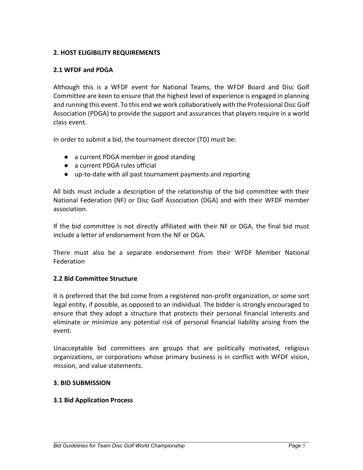## **2. HOST ELIGIBILITY REQUIREMENTS**

## **2.1 WFDF and PDGA**

Although this is a WFDF event for National Teams, the WFDF Board and Disc Golf Committee are keen to ensure that the highest level of experience is engaged in planning and running this event. To this end we work collaboratively with the Professional Disc Golf Association (PDGA) to provide the support and assurances that players require in a world class event.

In order to submit a bid, the tournament director (TD) must be:

- a current PDGA member in good standing
- a current PDGA rules official
- up-to-date with all past tournament payments and reporting

All bids must include a description of the relationship of the bid committee with their National Federation (NF) or Disc Golf Association (DGA) and with their WFDF member association.

If the bid committee is not directly affiliated with their NF or DGA, the final bid must include a letter of endorsement from the NF or DGA.

There must also be a separate endorsement from their WFDF Member National Federation

## **2.2 Bid Committee Structure**

It is preferred that the bid come from a registered non-profit organization, or some sort legal entity, if possible, as opposed to an individual. The bidder is strongly encouraged to ensure that they adopt a structure that protects their personal financial interests and eliminate or minimize any potential risk of personal financial liability arising from the event.

Unacceptable bid committees are groups that are politically motivated, religious organizations, or corporations whose primary business is in conflict with WFDF vision, mission, and value statements.

## **3. BID SUBMISSION**

## **3.1 Bid Application Process**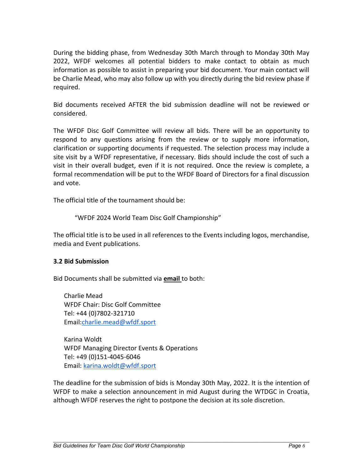During the bidding phase, from Wednesday 30th March through to Monday 30th May 2022, WFDF welcomes all potential bidders to make contact to obtain as much information as possible to assist in preparing your bid document. Your main contact will be Charlie Mead, who may also follow up with you directly during the bid review phase if required.

Bid documents received AFTER the bid submission deadline will not be reviewed or considered.

The WFDF Disc Golf Committee will review all bids. There will be an opportunity to respond to any questions arising from the review or to supply more information, clarification or supporting documents if requested. The selection process may include a site visit by a WFDF representative, if necessary. Bids should include the cost of such a visit in their overall budget, even if it is not required. Once the review is complete, a formal recommendation will be put to the WFDF Board of Directors for a final discussion and vote.

The official title of the tournament should be:

"WFDF 2024 World Team Disc Golf Championship"

The official title is to be used in all references to the Events including logos, merchandise, media and Event publications.

## **3.2 Bid Submission**

Bid Documents shall be submitted via **email** to both:

Charlie Mead WFDF Chair: Disc Golf Committee Tel: +44 (0)7802-321710 Email:charlie.mead@wfdf.sport

Karina Woldt WFDF Managing Director Events & Operations Tel: +49 (0)151-4045-6046 Email: karina.woldt@wfdf.sport

The deadline for the submission of bids is Monday 30th May, 2022. It is the intention of WFDF to make a selection announcement in mid August during the WTDGC in Croatia, although WFDF reserves the right to postpone the decision at its sole discretion.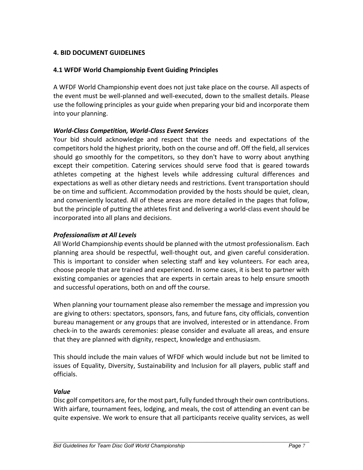## **4. BID DOCUMENT GUIDELINES**

## **4.1 WFDF World Championship Event Guiding Principles**

A WFDF World Championship event does not just take place on the course. All aspects of the event must be well-planned and well-executed, down to the smallest details. Please use the following principles as your guide when preparing your bid and incorporate them into your planning.

## *World-Class Competition, World-Class Event Services*

Your bid should acknowledge and respect that the needs and expectations of the competitors hold the highest priority, both on the course and off. Off the field, all services should go smoothly for the competitors, so they don't have to worry about anything except their competition. Catering services should serve food that is geared towards athletes competing at the highest levels while addressing cultural differences and expectations as well as other dietary needs and restrictions. Event transportation should be on time and sufficient. Accommodation provided by the hosts should be quiet, clean, and conveniently located. All of these areas are more detailed in the pages that follow, but the principle of putting the athletes first and delivering a world-class event should be incorporated into all plans and decisions.

## *Professionalism at All Levels*

All World Championship events should be planned with the utmost professionalism. Each planning area should be respectful, well-thought out, and given careful consideration. This is important to consider when selecting staff and key volunteers. For each area, choose people that are trained and experienced. In some cases, it is best to partner with existing companies or agencies that are experts in certain areas to help ensure smooth and successful operations, both on and off the course.

When planning your tournament please also remember the message and impression you are giving to others: spectators, sponsors, fans, and future fans, city officials, convention bureau management or any groups that are involved, interested or in attendance. From check-in to the awards ceremonies: please consider and evaluate all areas, and ensure that they are planned with dignity, respect, knowledge and enthusiasm.

This should include the main values of WFDF which would include but not be limited to issues of Equality, Diversity, Sustainability and Inclusion for all players, public staff and officials.

## *Value*

Disc golf competitors are, for the most part, fully funded through their own contributions. With airfare, tournament fees, lodging, and meals, the cost of attending an event can be quite expensive. We work to ensure that all participants receive quality services, as well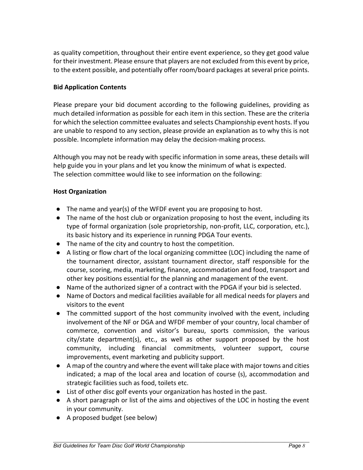as quality competition, throughout their entire event experience, so they get good value for their investment. Please ensure that players are not excluded from this event by price, to the extent possible, and potentially offer room/board packages at several price points.

## **Bid Application Contents**

Please prepare your bid document according to the following guidelines, providing as much detailed information as possible for each item in this section. These are the criteria for which the selection committee evaluates and selects Championship event hosts. If you are unable to respond to any section, please provide an explanation as to why this is not possible. Incomplete information may delay the decision-making process.

Although you may not be ready with specific information in some areas, these details will help guide you in your plans and let you know the minimum of what is expected. The selection committee would like to see information on the following:

## **Host Organization**

- The name and year(s) of the WFDF event you are proposing to host.
- The name of the host club or organization proposing to host the event, including its type of formal organization (sole proprietorship, non-profit, LLC, corporation, etc.), its basic history and its experience in running PDGA Tour events.
- The name of the city and country to host the competition.
- A listing or flow chart of the local organizing committee (LOC) including the name of the tournament director, assistant tournament director, staff responsible for the course, scoring, media, marketing, finance, accommodation and food, transport and other key positions essential for the planning and management of the event.
- Name of the authorized signer of a contract with the PDGA if your bid is selected.
- Name of Doctors and medical facilities available for all medical needs for players and visitors to the event
- The committed support of the host community involved with the event, including involvement of the NF or DGA and WFDF member of your country, local chamber of commerce, convention and visitor's bureau, sports commission, the various city/state department(s), etc., as well as other support proposed by the host community, including financial commitments, volunteer support, course improvements, event marketing and publicity support.
- A map of the country and where the event will take place with major towns and cities indicated; a map of the local area and location of course (s), accommodation and strategic facilities such as food, toilets etc.
- List of other disc golf events your organization has hosted in the past.
- A short paragraph or list of the aims and objectives of the LOC in hosting the event in your community.
- A proposed budget (see below)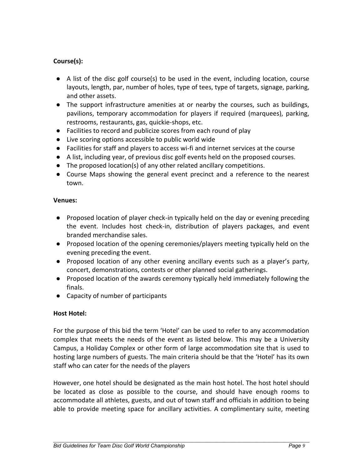## **Course(s):**

- A list of the disc golf course(s) to be used in the event, including location, course layouts, length, par, number of holes, type of tees, type of targets, signage, parking, and other assets.
- The support infrastructure amenities at or nearby the courses, such as buildings, pavilions, temporary accommodation for players if required (marquees), parking, restrooms, restaurants, gas, quickie-shops, etc.
- Facilities to record and publicize scores from each round of play
- Live scoring options accessible to public world wide
- Facilities for staff and players to access wi-fi and internet services at the course
- A list, including year, of previous disc golf events held on the proposed courses.
- The proposed location(s) of any other related ancillary competitions.
- Course Maps showing the general event precinct and a reference to the nearest town.

#### **Venues:**

- Proposed location of player check-in typically held on the day or evening preceding the event. Includes host check-in, distribution of players packages, and event branded merchandise sales.
- Proposed location of the opening ceremonies/players meeting typically held on the evening preceding the event.
- Proposed location of any other evening ancillary events such as a player's party, concert, demonstrations, contests or other planned social gatherings.
- Proposed location of the awards ceremony typically held immediately following the finals.
- Capacity of number of participants

## **Host Hotel:**

For the purpose of this bid the term 'Hotel' can be used to refer to any accommodation complex that meets the needs of the event as listed below. This may be a University Campus, a Holiday Complex or other form of large accommodation site that is used to hosting large numbers of guests. The main criteria should be that the 'Hotel' has its own staff who can cater for the needs of the players

However, one hotel should be designated as the main host hotel. The host hotel should be located as close as possible to the course, and should have enough rooms to accommodate all athletes, guests, and out of town staff and officials in addition to being able to provide meeting space for ancillary activities. A complimentary suite, meeting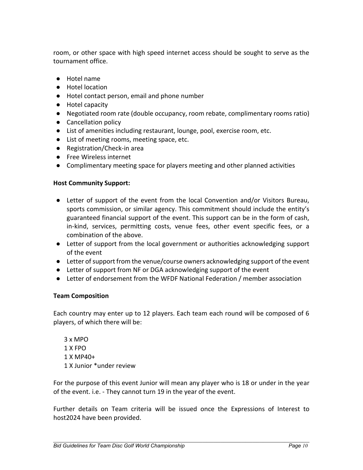room, or other space with high speed internet access should be sought to serve as the tournament office.

- Hotel name
- Hotel location
- Hotel contact person, email and phone number
- Hotel capacity
- Negotiated room rate (double occupancy, room rebate, complimentary rooms ratio)
- Cancellation policy
- List of amenities including restaurant, lounge, pool, exercise room, etc.
- List of meeting rooms, meeting space, etc.
- Registration/Check-in area
- Free Wireless internet
- Complimentary meeting space for players meeting and other planned activities

## **Host Community Support:**

- Letter of support of the event from the local Convention and/or Visitors Bureau, sports commission, or similar agency. This commitment should include the entity's guaranteed financial support of the event. This support can be in the form of cash, in-kind, services, permitting costs, venue fees, other event specific fees, or a combination of the above.
- Letter of support from the local government or authorities acknowledging support of the event
- Letter of support from the venue/course owners acknowledging support of the event
- Letter of support from NF or DGA acknowledging support of the event
- Letter of endorsement from the WFDF National Federation / member association

## **Team Composition**

Each country may enter up to 12 players. Each team each round will be composed of 6 players, of which there will be:

3 x MPO 1 X FPO 1 X MP40+ 1 X Junior \*under review

For the purpose of this event Junior will mean any player who is 18 or under in the year of the event. i.e. - They cannot turn 19 in the year of the event.

Further details on Team criteria will be issued once the Expressions of Interest to host2024 have been provided.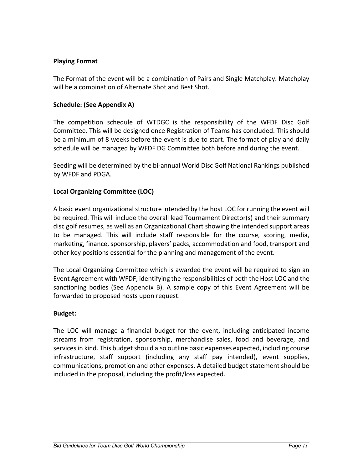## **Playing Format**

The Format of the event will be a combination of Pairs and Single Matchplay. Matchplay will be a combination of Alternate Shot and Best Shot.

## **Schedule: (See Appendix A)**

The competition schedule of WTDGC is the responsibility of the WFDF Disc Golf Committee. This will be designed once Registration of Teams has concluded. This should be a minimum of 8 weeks before the event is due to start. The format of play and daily schedule will be managed by WFDF DG Committee both before and during the event.

Seeding will be determined by the bi-annual World Disc Golf National Rankings published by WFDF and PDGA.

## **Local Organizing Committee (LOC)**

A basic event organizational structure intended by the host LOC for running the event will be required. This will include the overall lead Tournament Director(s) and their summary disc golf resumes, as well as an Organizational Chart showing the intended support areas to be managed. This will include staff responsible for the course, scoring, media, marketing, finance, sponsorship, players' packs, accommodation and food, transport and other key positions essential for the planning and management of the event.

The Local Organizing Committee which is awarded the event will be required to sign an Event Agreement with WFDF, identifying the responsibilities of both the Host LOC and the sanctioning bodies (See Appendix B). A sample copy of this Event Agreement will be forwarded to proposed hosts upon request.

## **Budget:**

The LOC will manage a financial budget for the event, including anticipated income streams from registration, sponsorship, merchandise sales, food and beverage, and services in kind. This budget should also outline basic expenses expected, including course infrastructure, staff support (including any staff pay intended), event supplies, communications, promotion and other expenses. A detailed budget statement should be included in the proposal, including the profit/loss expected.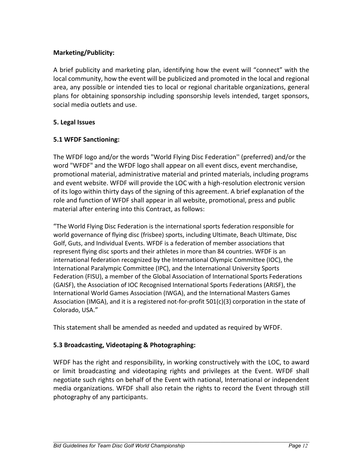## **Marketing/Publicity:**

A brief publicity and marketing plan, identifying how the event will "connect" with the local community, how the event will be publicized and promoted in the local and regional area, any possible or intended ties to local or regional charitable organizations, general plans for obtaining sponsorship including sponsorship levels intended, target sponsors, social media outlets and use.

## **5. Legal Issues**

## **5.1 WFDF Sanctioning:**

The WFDF logo and/or the words "World Flying Disc Federation'' (preferred) and/or the word "WFDF" and the WFDF logo shall appear on all event discs, event merchandise, promotional material, administrative material and printed materials, including programs and event website. WFDF will provide the LOC with a high-resolution electronic version of its logo within thirty days of the signing of this agreement. A brief explanation of the role and function of WFDF shall appear in all website, promotional, press and public material after entering into this Contract, as follows:

"The World Flying Disc Federation is the international sports federation responsible for world governance of flying disc (frisbee) sports, including Ultimate, Beach Ultimate, Disc Golf, Guts, and Individual Events. WFDF is a federation of member associations that represent flying disc sports and their athletes in more than 84 countries. WFDF is an international federation recognized by the International Olympic Committee (IOC), the International Paralympic Committee (IPC), and the International University Sports Federation (FISU), a member of the Global Association of International Sports Federations (GAISF), the Association of IOC Recognised International Sports Federations (ARISF), the International World Games Association (IWGA), and the International Masters Games Association (IMGA), and it is a registered not-for-profit 501(c)(3) corporation in the state of Colorado, USA."

This statement shall be amended as needed and updated as required by WFDF.

## **5.3 Broadcasting, Videotaping & Photographing:**

WFDF has the right and responsibility, in working constructively with the LOC, to award or limit broadcasting and videotaping rights and privileges at the Event. WFDF shall negotiate such rights on behalf of the Event with national, International or independent media organizations. WFDF shall also retain the rights to record the Event through still photography of any participants.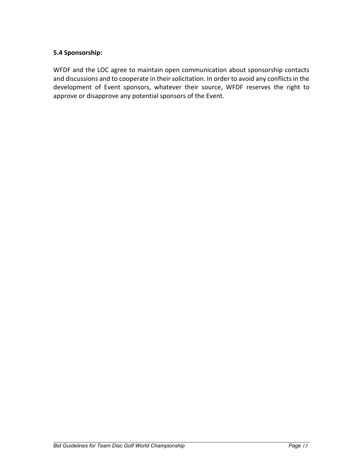## **5.4 Sponsorship:**

WFDF and the LOC agree to maintain open communication about sponsorship contacts and discussions and to cooperate in their solicitation. In order to avoid any conflicts in the development of Event sponsors, whatever their source, WFDF reserves the right to approve or disapprove any potential sponsors of the Event.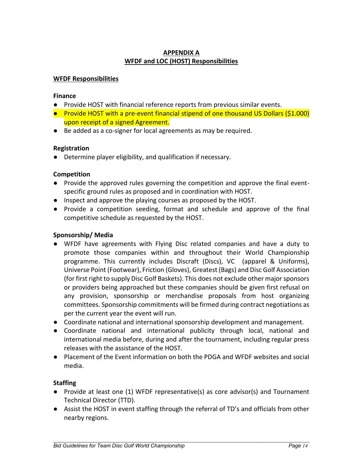## **APPENDIX A WFDF and LOC (HOST) Responsibilities**

#### **WFDF Responsibilities**

#### **Finance**

- Provide HOST with financial reference reports from previous similar events.
- Provide HOST with a pre-event financial stipend of one thousand US Dollars (\$1.000) upon receipt of a signed Agreement.
- Be added as a co-signer for local agreements as may be required.

#### **Registration**

● Determine player eligibility, and qualification if necessary.

#### **Competition**

- Provide the approved rules governing the competition and approve the final eventspecific ground rules as proposed and in coordination with HOST.
- Inspect and approve the playing courses as proposed by the HOST.
- Provide a competition seeding, format and schedule and approve of the final competitive schedule as requested by the HOST.

#### **Sponsorship/ Media**

- WFDF have agreements with Flying Disc related companies and have a duty to promote those companies within and throughout their World Championship programme. This currently includes Discraft (Discs), VC (apparel & Uniforms), Universe Point (Footwear), Friction (Gloves), Greatest (Bags) and Disc Golf Association (for first right to supply Disc Golf Baskets). This does not exclude other major sponsors or providers being approached but these companies should be given first refusal on any provision, sponsorship or merchandise proposals from host organizing committees. Sponsorship commitments will be firmed during contract negotiations as per the current year the event will run.
- Coordinate national and international sponsorship development and management.
- Coordinate national and international publicity through local, national and international media before, during and after the tournament, including regular press releases with the assistance of the HOST.
- Placement of the Event information on both the PDGA and WFDF websites and social media.

#### **Staffing**

- Provide at least one (1) WFDF representative(s) as core advisor(s) and Tournament Technical Director (TTD).
- Assist the HOST in event staffing through the referral of TD's and officials from other nearby regions.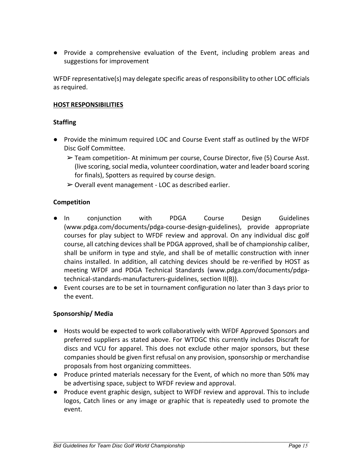● Provide a comprehensive evaluation of the Event, including problem areas and suggestions for improvement

WFDF representative(s) may delegate specific areas of responsibility to other LOC officials as required.

#### **HOST RESPONSIBILITIES**

#### **Staffing**

- Provide the minimum required LOC and Course Event staff as outlined by the WFDF Disc Golf Committee.
	- $\triangleright$  Team competition- At minimum per course, Course Director, five (5) Course Asst. (live scoring, social media, volunteer coordination, water and leader board scoring for finals), Spotters as required by course design.
	- $\geq 0$ verall event management LOC as described earlier.

#### **Competition**

- In conjunction with PDGA Course Design Guidelines (www.pdga.com/documents/pdga-course-design-guidelines), provide appropriate courses for play subject to WFDF review and approval. On any individual disc golf course, all catching devices shall be PDGA approved, shall be of championship caliber, shall be uniform in type and style, and shall be of metallic construction with inner chains installed. In addition, all catching devices should be re-verified by HOST as meeting WFDF and PDGA Technical Standards (www.pdga.com/documents/pdgatechnical-standards-manufacturers-guidelines, section II(B)).
- Event courses are to be set in tournament configuration no later than 3 days prior to the event.

#### **Sponsorship/ Media**

- Hosts would be expected to work collaboratively with WFDF Approved Sponsors and preferred suppliers as stated above. For WTDGC this currently includes Discraft for discs and VCU for apparel. This does not exclude other major sponsors, but these companies should be given first refusal on any provision, sponsorship or merchandise proposals from host organizing committees.
- Produce printed materials necessary for the Event, of which no more than 50% may be advertising space, subject to WFDF review and approval.
- Produce event graphic design, subject to WFDF review and approval. This to include logos, Catch lines or any image or graphic that is repeatedly used to promote the event.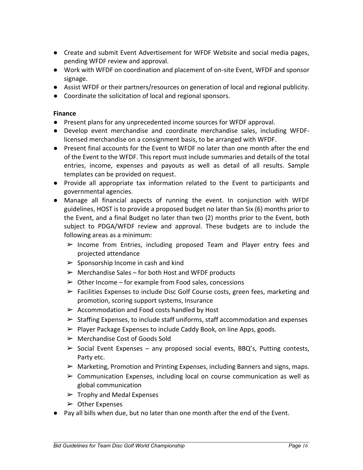- Create and submit Event Advertisement for WFDF Website and social media pages, pending WFDF review and approval.
- Work with WFDF on coordination and placement of on-site Event, WFDF and sponsor signage.
- Assist WFDF or their partners/resources on generation of local and regional publicity.
- Coordinate the solicitation of local and regional sponsors.

#### **Finance**

- Present plans for any unprecedented income sources for WFDF approval.
- Develop event merchandise and coordinate merchandise sales, including WFDFlicensed merchandise on a consignment basis, to be arranged with WFDF.
- Present final accounts for the Event to WFDF no later than one month after the end of the Event to the WFDF. This report must include summaries and details of the total entries, income, expenses and payouts as well as detail of all results. Sample templates can be provided on request.
- Provide all appropriate tax information related to the Event to participants and governmental agencies.
- Manage all financial aspects of running the event. In conjunction with WFDF guidelines, HOST is to provide a proposed budget no later than Six (6) months prior to the Event, and a final Budget no later than two (2) months prior to the Event, both subject to PDGA/WFDF review and approval. These budgets are to include the following areas as a minimum:
	- ➢ Income from Entries, including proposed Team and Player entry fees and projected attendance
	- $\triangleright$  Sponsorship Income in cash and kind
	- $\triangleright$  Merchandise Sales for both Host and WFDF products
	- $\geq 0$  ther Income for example from Food sales, concessions
	- $\triangleright$  Facilities Expenses to include Disc Golf Course costs, green fees, marketing and promotion, scoring support systems, Insurance
	- $\triangleright$  Accommodation and Food costs handled by Host
	- ➢ Staffing Expenses, to include staff uniforms, staff accommodation and expenses
	- ➢ Player Package Expenses to include Caddy Book, on line Apps, goods.
	- ➢ Merchandise Cost of Goods Sold
	- $\triangleright$  Social Event Expenses any proposed social events, BBQ's, Putting contests, Party etc.
	- $\triangleright$  Marketing, Promotion and Printing Expenses, including Banners and signs, maps.
	- $\triangleright$  Communication Expenses, including local on course communication as well as global communication
	- $\triangleright$  Trophy and Medal Expenses
	- $\triangleright$  Other Expenses
- Pay all bills when due, but no later than one month after the end of the Event.